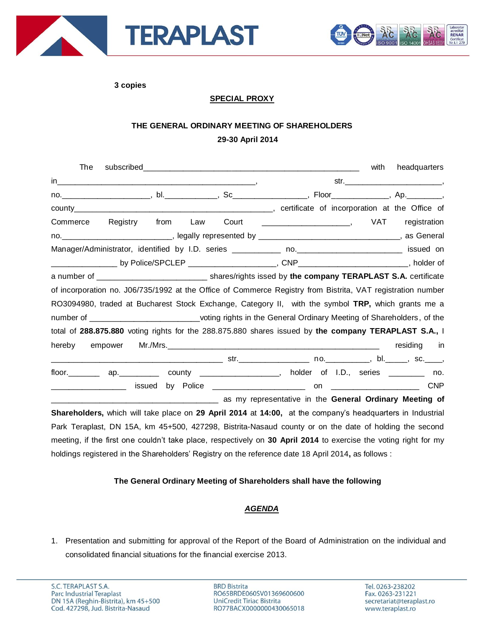



**3 copies**

## **SPECIAL PROXY**

## **THE GENERAL ORDINARY MEETING OF SHAREHOLDERS 29-30 April 2014**

| The                                                                                                         |  | with<br>headquarters |
|-------------------------------------------------------------------------------------------------------------|--|----------------------|
|                                                                                                             |  |                      |
|                                                                                                             |  |                      |
|                                                                                                             |  |                      |
| Commerce Registry from Law                                                                                  |  |                      |
|                                                                                                             |  |                      |
|                                                                                                             |  |                      |
| ___________________ by Police/SPCLEP ________________________, CNP___________________________, holder of    |  |                      |
| a number of _________________________________ shares/rights issed by the company TERAPLAST S.A. certificate |  |                      |
| of incorporation no. J06/735/1992 at the Office of Commerce Registry from Bistrita, VAT registration number |  |                      |
| RO3094980, traded at Bucharest Stock Exchange, Category II, with the symbol TRP, which grants me a          |  |                      |
| number of ____________________________voting rights in the General Ordinary Meeting of Shareholders, of the |  |                      |
| total of 288.875.880 voting rights for the 288.875.880 shares issued by the company TERAPLAST S.A., I       |  |                      |
| hereby<br>empower                                                                                           |  | residing in          |
|                                                                                                             |  |                      |
| floor. 4p. ap. County ___________, holder of I.D., series _______ no.                                       |  |                      |
| issued                                                                                                      |  |                      |
|                                                                                                             |  |                      |
| Shareholders, which will take place on 29 April 2014 at 14:00, at the company's headquarters in Industrial  |  |                      |
| Dark Tereplast, DN 15A, km 15,500, 197900, Pietrite Negaud county as an the date of bolding the second      |  |                      |

Park Teraplast, DN 15A, km 45+500, 427298, Bistrita-Nasaud county or on the date of holding the second meeting, if the first one couldn't take place, respectively on **30 April 2014** to exercise the voting right for my holdings registered in the Shareholders' Registry on the reference date 18 April 2014**,** as follows :

## **The General Ordinary Meeting of Shareholders shall have the following**

## *AGENDA*

1. Presentation and submitting for approval of the Report of the Board of Administration on the individual and consolidated financial situations for the financial exercise 2013.

**BRD Bistrita** RO65BRDE060SV01369600600 UniCredit Tiriac Bistrita RO77BACX0000000430065018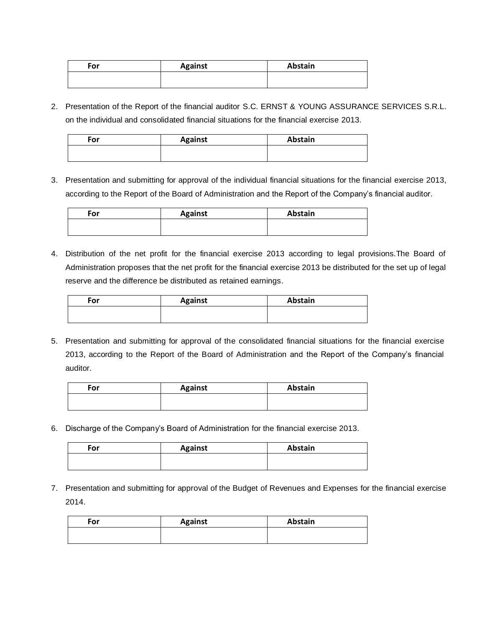| For | <b>Against</b> | Abstain |
|-----|----------------|---------|
|     |                |         |
|     |                |         |

2. Presentation of the Report of the financial auditor S.C. ERNST & YOUNG ASSURANCE SERVICES S.R.L. on the individual and consolidated financial situations for the financial exercise 2013.

| For | <b>Against</b> | Abstain |
|-----|----------------|---------|
|     |                |         |
|     |                |         |

3. Presentation and submitting for approval of the individual financial situations for the financial exercise 2013, according to the Report of the Board of Administration and the Report of the Company's financial auditor.

| For | <b>Against</b> | Abstain |
|-----|----------------|---------|
|     |                |         |
|     |                |         |

4. Distribution of the net profit for the financial exercise 2013 according to legal provisions.The Board of Administration proposes that the net profit for the financial exercise 2013 be distributed for the set up of legal reserve and the difference be distributed as retained earnings.

| For | <b>Against</b> | Abstain |
|-----|----------------|---------|
|     |                |         |
|     |                |         |

5. Presentation and submitting for approval of the consolidated financial situations for the financial exercise 2013, according to the Report of the Board of Administration and the Report of the Company's financial auditor.

| For | <b>Against</b> | Abstain |
|-----|----------------|---------|
|     |                |         |
|     |                |         |

6. Discharge of the Company's Board of Administration for the financial exercise 2013.

| For | <b>Against</b> | Abstain |
|-----|----------------|---------|
|     |                |         |
|     |                |         |

7. Presentation and submitting for approval of the Budget of Revenues and Expenses for the financial exercise 2014.

| For | <b>Against</b> | Abstain |
|-----|----------------|---------|
|     |                |         |
|     |                |         |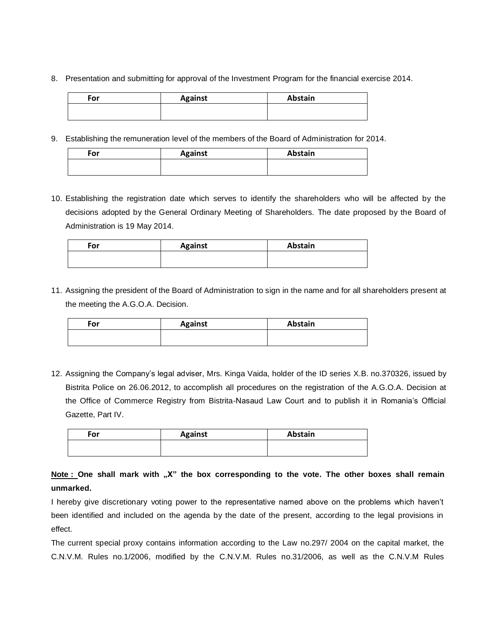8. Presentation and submitting for approval of the Investment Program for the financial exercise 2014.

| For | <b>Against</b> | Abstain |
|-----|----------------|---------|
|     |                |         |
|     |                |         |

9. Establishing the remuneration level of the members of the Board of Administration for 2014.

| For | <b>Against</b> | Abstain |
|-----|----------------|---------|
|     |                |         |
|     |                |         |

10. Establishing the registration date which serves to identify the shareholders who will be affected by the decisions adopted by the General Ordinary Meeting of Shareholders. The date proposed by the Board of Administration is 19 May 2014.

| For | <b>Against</b> | Abstain |
|-----|----------------|---------|
|     |                |         |

11. Assigning the president of the Board of Administration to sign in the name and for all shareholders present at the meeting the A.G.O.A. Decision.

| For | <b>Against</b> | Abstain |
|-----|----------------|---------|
|     |                |         |
|     |                |         |

12. Assigning the Company's legal adviser, Mrs. Kinga Vaida, holder of the ID series X.B. no.370326, issued by Bistrita Police on 26.06.2012, to accomplish all procedures on the registration of the A.G.O.A. Decision at the Office of Commerce Registry from Bistrita-Nasaud Law Court and to publish it in Romania's Official Gazette, Part IV.

| For | <b>Against</b> | Abstain |
|-----|----------------|---------|
|     |                |         |

**Note** : One shall mark with "X" the box corresponding to the vote. The other boxes shall remain **unmarked.** 

I hereby give discretionary voting power to the representative named above on the problems which haven't been identified and included on the agenda by the date of the present, according to the legal provisions in effect.

The current special proxy contains information according to the Law no.297/ 2004 on the capital market, the C.N.V.M. Rules no.1/2006, modified by the C.N.V.M. Rules no.31/2006, as well as the C.N.V.M Rules